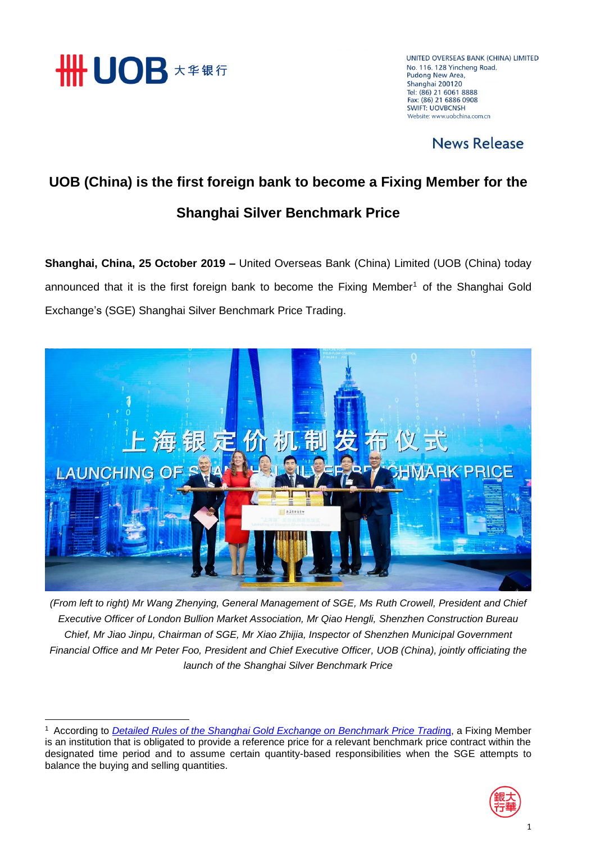

**.** 

UNITED OVERSEAS BANK (CHINA) LIMITED No. 116, 128 Yincheng Road, Pudong New Area, Shanghai 200120 Tel: (86) 21 6061 8888 Fax: (86) 21 6886 0908 **SWIFT: LIOVRCNSH** Website: www.uobchina.com.cn

## News Release

## **UOB (China) is the first foreign bank to become a Fixing Member for the Shanghai Silver Benchmark Price**

**Shanghai, China, 25 October 2019 –** United Overseas Bank (China) Limited (UOB (China) today announced that it is the first foreign bank to become the Fixing Member<sup>1</sup> of the Shanghai Gold Exchange's (SGE) Shanghai Silver Benchmark Price Trading.



*(From left to right) Mr Wang Zhenying, General Management of SGE, Ms Ruth Crowell, President and Chief Executive Officer of London Bullion Market Association, Mr Qiao Hengli, Shenzhen Construction Bureau Chief, Mr Jiao Jinpu, Chairman of SGE, Mr Xiao Zhijia, Inspector of Shenzhen Municipal Government Financial Office and Mr Peter Foo, President and Chief Executive Officer, UOB (China), jointly officiating the launch of the Shanghai Silver Benchmark Price*

<sup>1</sup> According to *[Detailed Rules of the Shanghai Gold Exchange on Benchmark Price Tradin](https://www.en.sge.com.cn/upload/file/201910/09/Y3o4KcfYaIB5Msfh.pdf)*g, a Fixing Member is an institution that is obligated to provide a reference price for a relevant benchmark price contract within the designated time period and to assume certain quantity-based responsibilities when the SGE attempts to balance the buying and selling quantities.

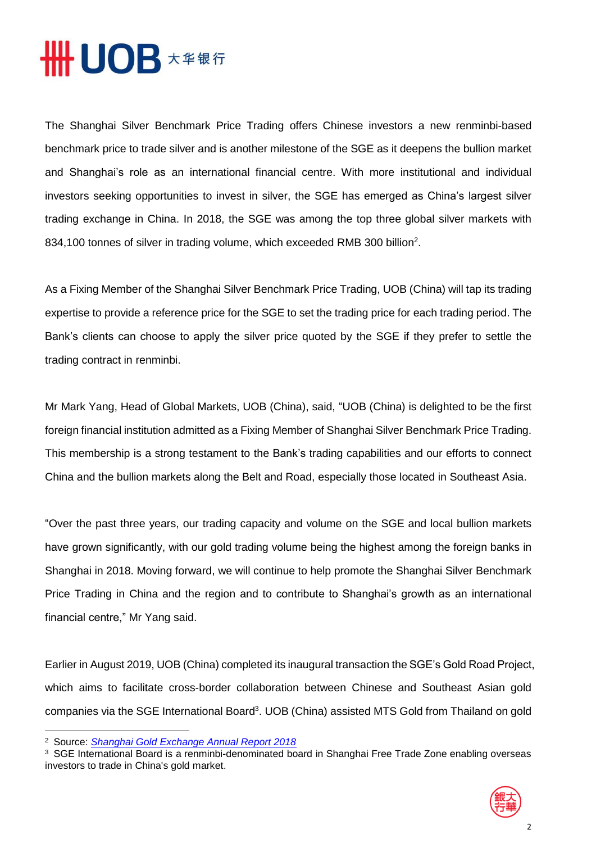

The Shanghai Silver Benchmark Price Trading offers Chinese investors a new renminbi-based benchmark price to trade silver and is another milestone of the SGE as it deepens the bullion market and Shanghai's role as an international financial centre. With more institutional and individual investors seeking opportunities to invest in silver, the SGE has emerged as China's largest silver trading exchange in China. In 2018, the SGE was among the top three global silver markets with 834,100 tonnes of silver in trading volume, which exceeded RMB 300 billion<sup>2</sup>.

As a Fixing Member of the Shanghai Silver Benchmark Price Trading, UOB (China) will tap its trading expertise to provide a reference price for the SGE to set the trading price for each trading period. The Bank's clients can choose to apply the silver price quoted by the SGE if they prefer to settle the trading contract in renminbi.

Mr Mark Yang, Head of Global Markets, UOB (China), said, "UOB (China) is delighted to be the first foreign financial institution admitted as a Fixing Member of Shanghai Silver Benchmark Price Trading. This membership is a strong testament to the Bank's trading capabilities and our efforts to connect China and the bullion markets along the Belt and Road, especially those located in Southeast Asia.

"Over the past three years, our trading capacity and volume on the SGE and local bullion markets have grown significantly, with our gold trading volume being the highest among the foreign banks in Shanghai in 2018. Moving forward, we will continue to help promote the Shanghai Silver Benchmark Price Trading in China and the region and to contribute to Shanghai's growth as an international financial centre," Mr Yang said.

Earlier in August 2019, UOB (China) completed its inaugural transaction the SGE's Gold Road Project, which aims to facilitate cross-border collaboration between Chinese and Southeast Asian gold companies via the SGE International Board<sup>3</sup>. UOB (China) assisted MTS Gold from Thailand on gold

 $\overline{\phantom{a}}$ 

<sup>3</sup> SGE International Board is a renminbi-denominated board in Shanghai Free Trade Zone enabling overseas investors to trade in China's gold market.



<sup>2</sup> Source: *[Shanghai Gold Exchange Annual Report 2018](https://www.sge.com.cn/upload/file/201904/17/b42b9c83c74d4246ac90cb0d2dd71796.pdf)*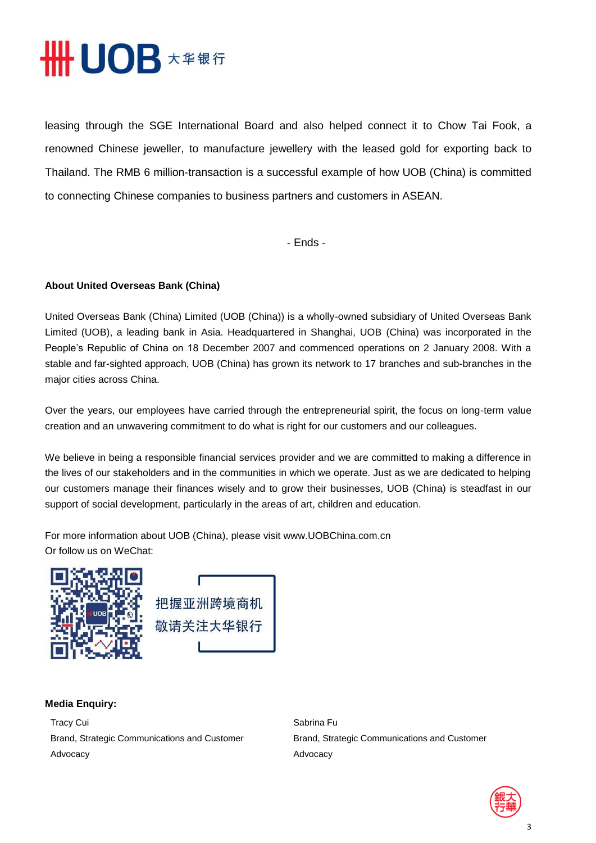

leasing through the SGE International Board and also helped connect it to Chow Tai Fook, a renowned Chinese jeweller, to manufacture jewellery with the leased gold for exporting back to Thailand. The RMB 6 million-transaction is a successful example of how UOB (China) is committed to connecting Chinese companies to business partners and customers in ASEAN.

- Ends -

## **About United Overseas Bank (China)**

United Overseas Bank (China) Limited (UOB (China)) is a wholly-owned subsidiary of United Overseas Bank Limited (UOB), a leading bank in Asia. Headquartered in Shanghai, UOB (China) was incorporated in the People's Republic of China on 18 December 2007 and commenced operations on 2 January 2008. With a stable and far-sighted approach, UOB (China) has grown its network to 17 branches and sub-branches in the major cities across China.

Over the years, our employees have carried through the entrepreneurial spirit, the focus on long-term value creation and an unwavering commitment to do what is right for our customers and our colleagues.

We believe in being a responsible financial services provider and we are committed to making a difference in the lives of our stakeholders and in the communities in which we operate. Just as we are dedicated to helping our customers manage their finances wisely and to grow their businesses, UOB (China) is steadfast in our support of social development, particularly in the areas of art, children and education.

For more information about UOB (China), please visit www.UOBChina.com.cn Or follow us on WeChat:





## **Media Enquiry:**

Tracy Cui Brand, Strategic Communications and Customer Advocacy

Sabrina Fu Brand, Strategic Communications and Customer Advocacy